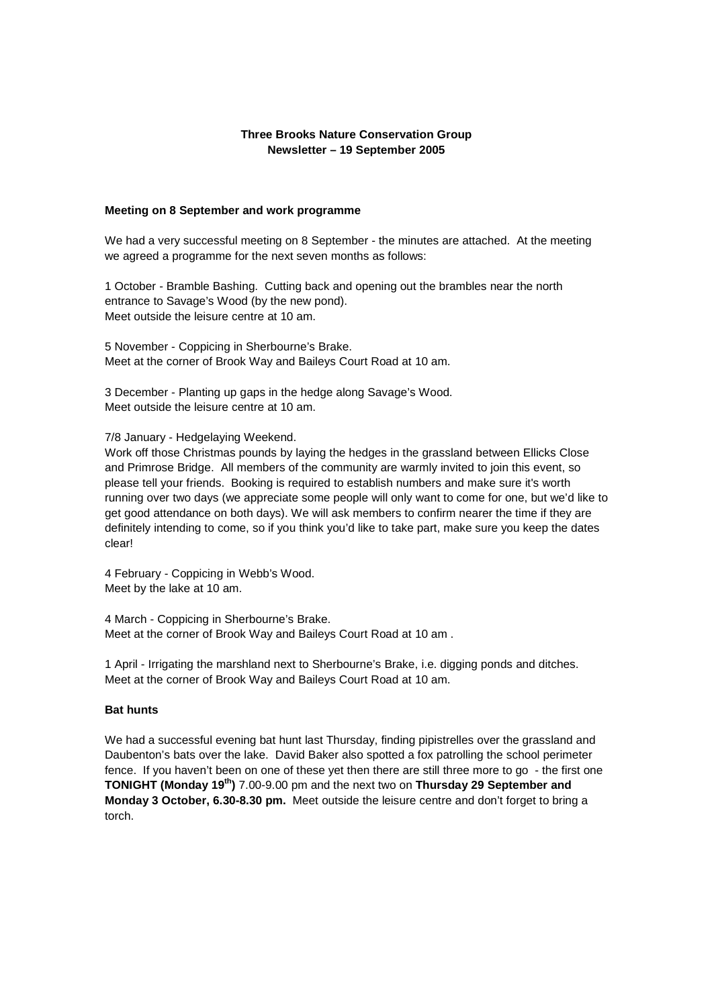# **Three Brooks Nature Conservation Group Newsletter – 19 September 2005**

#### **Meeting on 8 September and work programme**

We had a very successful meeting on 8 September - the minutes are attached. At the meeting we agreed a programme for the next seven months as follows:

1 October - Bramble Bashing. Cutting back and opening out the brambles near the north entrance to Savage's Wood (by the new pond). Meet outside the leisure centre at 10 am.

5 November - Coppicing in Sherbourne's Brake. Meet at the corner of Brook Way and Baileys Court Road at 10 am.

3 December - Planting up gaps in the hedge along Savage's Wood. Meet outside the leisure centre at 10 am.

## 7/8 January - Hedgelaying Weekend.

Work off those Christmas pounds by laying the hedges in the grassland between Ellicks Close and Primrose Bridge. All members of the community are warmly invited to join this event, so please tell your friends. Booking is required to establish numbers and make sure it's worth running over two days (we appreciate some people will only want to come for one, but we'd like to get good attendance on both days). We will ask members to confirm nearer the time if they are definitely intending to come, so if you think you'd like to take part, make sure you keep the dates clear!

4 February - Coppicing in Webb's Wood. Meet by the lake at 10 am.

4 March - Coppicing in Sherbourne's Brake. Meet at the corner of Brook Way and Baileys Court Road at 10 am .

1 April - Irrigating the marshland next to Sherbourne's Brake, i.e. digging ponds and ditches. Meet at the corner of Brook Way and Baileys Court Road at 10 am.

### **Bat hunts**

We had a successful evening bat hunt last Thursday, finding pipistrelles over the grassland and Daubenton's bats over the lake. David Baker also spotted a fox patrolling the school perimeter fence. If you haven't been on one of these yet then there are still three more to go - the first one **TONIGHT (Monday 19th)** 7.00-9.00 pm and the next two on **Thursday 29 September and Monday 3 October, 6.30-8.30 pm.** Meet outside the leisure centre and don't forget to bring a torch.